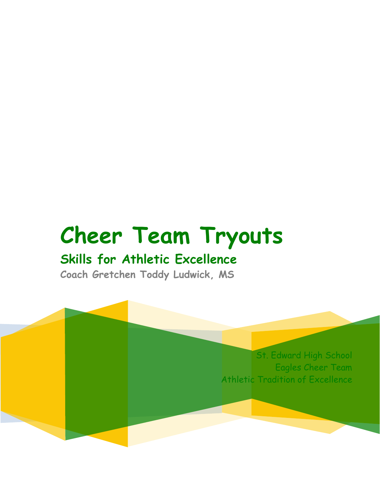# **Cheer Team Tryouts**

# **Skills for Athletic Excellence**

**Coach Gretchen Toddy Ludwick, MS**

St. Edward High School Eagles Cheer Team Athletic Tradition of Excellence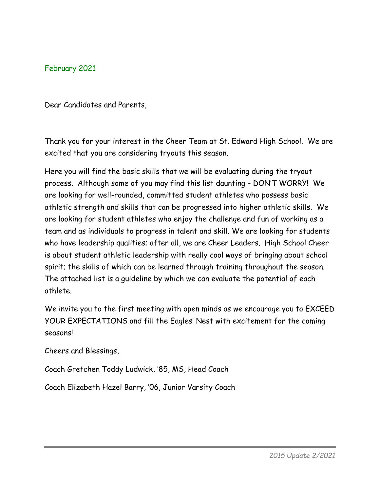February 2021

Dear Candidates and Parents,

Thank you for your interest in the Cheer Team at St. Edward High School. We are excited that you are considering tryouts this season.

Here you will find the basic skills that we will be evaluating during the tryout process. Although some of you may find this list daunting – DON'T WORRY! We are looking for well-rounded, committed student athletes who possess basic athletic strength and skills that can be progressed into higher athletic skills. We are looking for student athletes who enjoy the challenge and fun of working as a team and as individuals to progress in talent and skill. We are looking for students who have leadership qualities; after all, we are Cheer Leaders. High School Cheer is about student athletic leadership with really cool ways of bringing about school spirit; the skills of which can be learned through training throughout the season. The attached list is a guideline by which we can evaluate the potential of each athlete.

We invite you to the first meeting with open minds as we encourage you to EXCEED YOUR EXPECTATIONS and fill the Eagles' Nest with excitement for the coming seasons!

Cheers and Blessings,

Coach Gretchen Toddy Ludwick, '85, MS, Head Coach

Coach Elizabeth Hazel Barry, '06, Junior Varsity Coach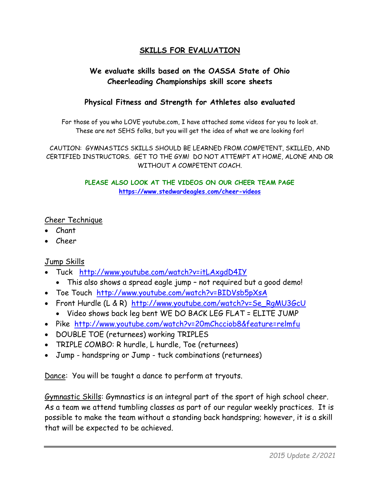## **SKILLS FOR EVALUATION**

## **We evaluate skills based on the OASSA State of Ohio Cheerleading Championships skill score sheets**

#### **Physical Fitness and Strength for Athletes also evaluated**

For those of you who LOVE youtube.com, I have attached some videos for you to look at. These are not SEHS folks, but you will get the idea of what we are looking for!

CAUTION: GYMNASTICS SKILLS SHOULD BE LEARNED FROM COMPETENT, SKILLED, AND CERTIFIED INSTRUCTORS. GET TO THE GYM! DO NOT ATTEMPT AT HOME, ALONE AND OR WITHOUT A COMPETENT COACH.

> **PLEASE ALSO LOOK AT THE VIDEOS ON OUR CHEER TEAM PAGE <https://www.stedwardeagles.com/cheer-videos>**

#### Cheer Technique

- Chant
- Cheer

#### Jump Skills

- Tuck <http://www.youtube.com/watch?v=itLAxgdD4IY>
	- This also shows a spread eagle jump not required but a good demo!
- Toe Touch <http://www.youtube.com/watch?v=BIDVsb5pXsA>
- Front Hurdle (L & R) [http://www.youtube.com/watch?v=Se\\_RgMU3GcU](http://www.youtube.com/watch?v=Se_RgMU3GcU)
	- Video shows back leg bent WE DO BACK LEG FLAT = ELITE JUMP
- Pike <http://www.youtube.com/watch?v=20mChcciob8&feature=relmfu>
- DOUBLE TOE (returnees) working TRIPLES
- TRIPLE COMBO: R hurdle, L hurdle, Toe (returnees)
- Jump handspring or Jump tuck combinations (returnees)

Dance: You will be taught a dance to perform at tryouts.

Gymnastic Skills: Gymnastics is an integral part of the sport of high school cheer. As a team we attend tumbling classes as part of our regular weekly practices. It is possible to make the team without a standing back handspring; however, it is a skill that will be expected to be achieved.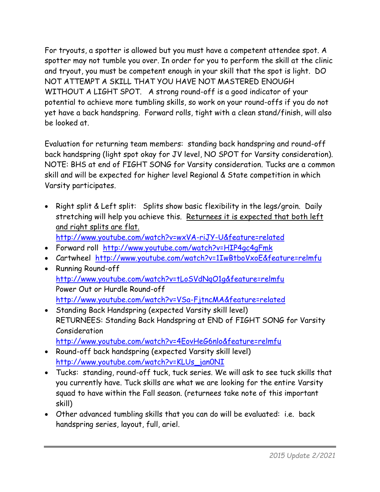For tryouts, a spotter is allowed but you must have a competent attendee spot. A spotter may not tumble you over. In order for you to perform the skill at the clinic and tryout, you must be competent enough in your skill that the spot is light. DO NOT ATTEMPT A SKILL THAT YOU HAVE NOT MASTERED ENOUGH WITHOUT A LIGHT SPOT. A strong round-off is a good indicator of your potential to achieve more tumbling skills, so work on your round-offs if you do not yet have a back handspring. Forward rolls, tight with a clean stand/finish, will also be looked at.

Evaluation for returning team members: standing back handspring and round-off back handspring (light spot okay for JV level, NO SPOT for Varsity consideration). NOTE: BHS at end of FIGHT SONG for Varsity consideration. Tucks are a common skill and will be expected for higher level Regional & State competition in which Varsity participates.

• Right split & Left split: Splits show basic flexibility in the legs/groin. Daily stretching will help you achieve this. Returnees it is expected that both left and right splits are flat.

<http://www.youtube.com/watch?v=wxVA-riJY-U&feature=related>

- Forward roll <http://www.youtube.com/watch?v=HIP4gc4gFmk>
- Cartwheel <http://www.youtube.com/watch?v=1IwBtboVxoE&feature=relmfu>
- Running Round-off <http://www.youtube.com/watch?v=tLoSVdNqO1g&feature=relmfu> Power Out or Hurdle Round-off <http://www.youtube.com/watch?v=VSa-FjtncMA&feature=related>
- Standing Back Handspring (expected Varsity skill level) RETURNEES: Standing Back Handspring at END of FIGHT SONG for Varsity Consideration <http://www.youtube.com/watch?v=4EovHeG6nlo&feature=relmfu>
- Round-off back handspring (expected Varsity skill level) [http://www.youtube.com/watch?v=KLUs\\_jan0NI](http://www.youtube.com/watch?v=KLUs_jan0NI)
- Tucks: standing, round-off tuck, tuck series. We will ask to see tuck skills that you currently have. Tuck skills are what we are looking for the entire Varsity squad to have within the Fall season. (returnees take note of this important skill)
- Other advanced tumbling skills that you can do will be evaluated: i.e. back handspring series, layout, full, ariel.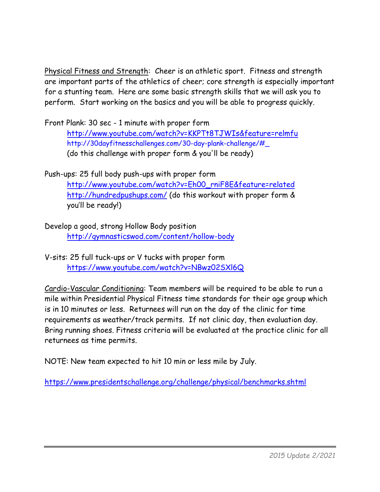Physical Fitness and Strength: Cheer is an athletic sport. Fitness and strength are important parts of the athletics of cheer; core strength is especially important for a stunting team. Here are some basic strength skills that we will ask you to perform. Start working on the basics and you will be able to progress quickly.

Front Plank: 30 sec - 1 minute with proper form <http://www.youtube.com/watch?v=KKPTt8TJWIs&feature=relmfu> http://30dayfitnesschallenges.com/30-day-plank-challenge/#\_ (do this challenge with proper form & you'll be ready)

Push-ups: 25 full body push-ups with proper form [http://www.youtube.com/watch?v=Eh00\\_rniF8E&feature=related](http://www.youtube.com/watch?v=Eh00_rniF8E&feature=related) <http://hundredpushups.com/> (do this workout with proper form & you'll be ready!)

Develop a good, strong Hollow Body position <http://gymnasticswod.com/content/hollow-body>

V-sits: 25 full tuck-ups or V tucks with proper form <https://www.youtube.com/watch?v=NBwz02SXl6Q>

Cardio-Vascular Conditioning: Team members will be required to be able to run a mile within Presidential Physical Fitness time standards for their age group which is in 10 minutes or less. Returnees will run on the day of the clinic for time requirements as weather/track permits. If not clinic day, then evaluation day. Bring running shoes. Fitness criteria will be evaluated at the practice clinic for all returnees as time permits.

NOTE: New team expected to hit 10 min or less mile by July.

<https://www.presidentschallenge.org/challenge/physical/benchmarks.shtml>